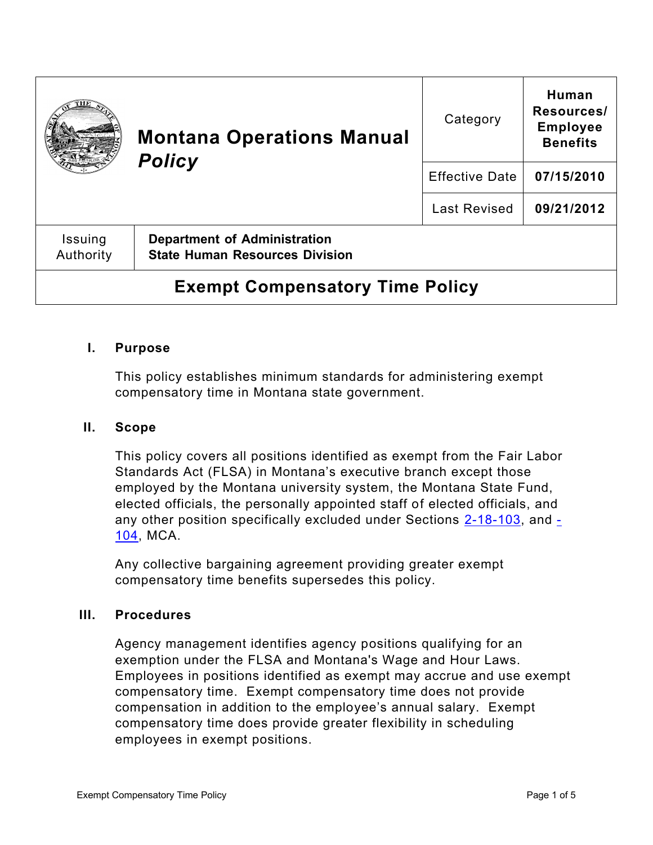|                                        | <b>Montana Operations Manual</b><br><b>Policy</b>                            | Category              | Human<br>Resources/<br><b>Employee</b><br><b>Benefits</b> |
|----------------------------------------|------------------------------------------------------------------------------|-----------------------|-----------------------------------------------------------|
|                                        |                                                                              | <b>Effective Date</b> | 07/15/2010                                                |
|                                        |                                                                              | <b>Last Revised</b>   | 09/21/2012                                                |
| Issuing<br>Authority                   | <b>Department of Administration</b><br><b>State Human Resources Division</b> |                       |                                                           |
| <b>Exempt Compensatory Time Policy</b> |                                                                              |                       |                                                           |

### **I. Purpose**

This policy establishes minimum standards for administering exempt compensatory time in Montana state government.

#### **II. Scope**

This policy covers all positions identified as exempt from the Fair Labor Standards Act (FLSA) in Montana's executive branch except those employed by the Montana university system, the Montana State Fund, elected officials, the personally appointed staff of elected officials, and any other position specifically excluded under Sections  $2-18-103$ , and  $-$ [104,](https://leg.mt.gov/bills/mca/title_0020/chapter_0180/part_0010/section_0040/0020-0180-0010-0040.html) MCA.

Any collective bargaining agreement providing greater exempt compensatory time benefits supersedes this policy.

#### **III. Procedures**

Agency management identifies agency positions qualifying for an exemption under the FLSA and Montana's Wage and Hour Laws. Employees in positions identified as exempt may accrue and use exempt compensatory time. Exempt compensatory time does not provide compensation in addition to the employee's annual salary. Exempt compensatory time does provide greater flexibility in scheduling employees in exempt positions.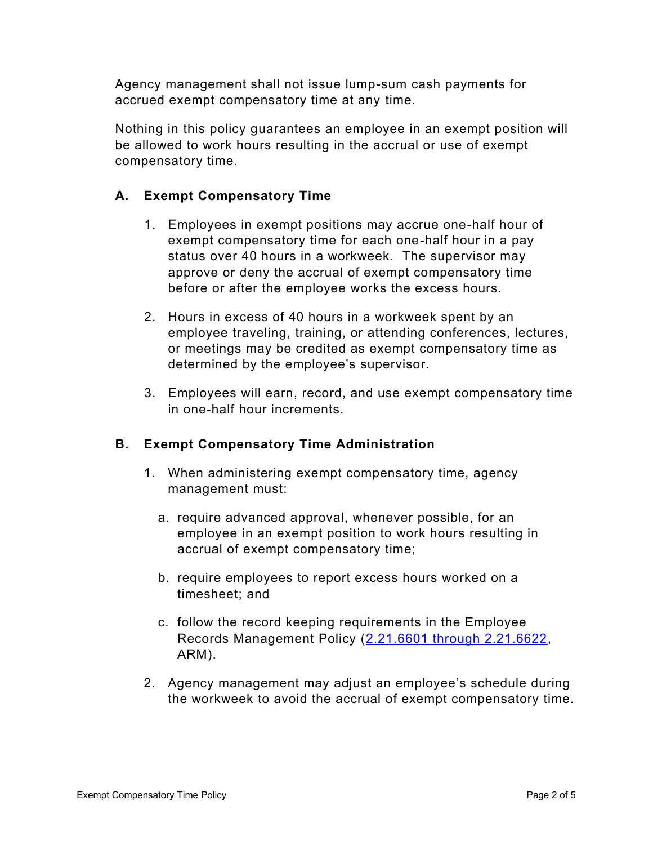Agency management shall not issue lump-sum cash payments for accrued exempt compensatory time at any time.

Nothing in this policy guarantees an employee in an exempt position will be allowed to work hours resulting in the accrual or use of exempt compensatory time.

## **A. Exempt Compensatory Time**

- 1. Employees in exempt positions may accrue one-half hour of exempt compensatory time for each one-half hour in a pay status over 40 hours in a workweek. The supervisor may approve or deny the accrual of exempt compensatory time before or after the employee works the excess hours.
- 2. Hours in excess of 40 hours in a workweek spent by an employee traveling, training, or attending conferences, lectures, or meetings may be credited as exempt compensatory time as determined by the employee's supervisor.
- 3. Employees will earn, record, and use exempt compensatory time in one-half hour increments.

### **B. Exempt Compensatory Time Administration**

- 1. When administering exempt compensatory time, agency management must:
	- a. require advanced approval, whenever possible, for an employee in an exempt position to work hours resulting in accrual of exempt compensatory time;
	- b. require employees to report excess hours worked on a timesheet; and
	- c. follow the record keeping requirements in the Employee Records Management Policy [\(2.21.6601 through 2.21.6622,](http://www.mtrules.org/gateway/Subchapterhome.asp?scn=2%2E21.66) ARM).
- 2. Agency management may adjust an employee's schedule during the workweek to avoid the accrual of exempt compensatory time.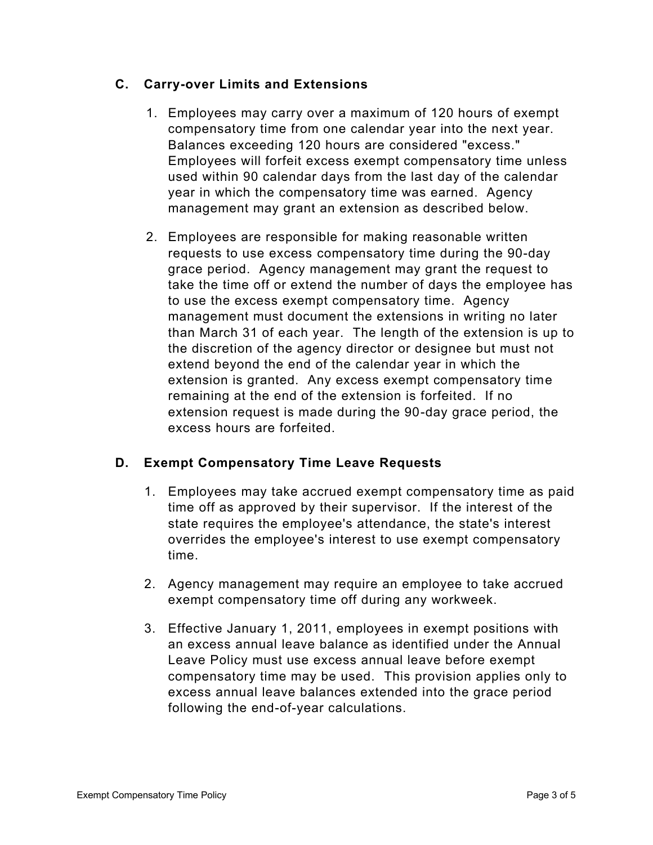### **C. Carry-over Limits and Extensions**

- 1. Employees may carry over a maximum of 120 hours of exempt compensatory time from one calendar year into the next year. Balances exceeding 120 hours are considered "excess." Employees will forfeit excess exempt compensatory time unless used within 90 calendar days from the last day of the calendar year in which the compensatory time was earned. Agency management may grant an extension as described below.
- 2. Employees are responsible for making reasonable written requests to use excess compensatory time during the 90-day grace period. Agency management may grant the request to take the time off or extend the number of days the employee has to use the excess exempt compensatory time. Agency management must document the extensions in writing no later than March 31 of each year. The length of the extension is up to the discretion of the agency director or designee but must not extend beyond the end of the calendar year in which the extension is granted. Any excess exempt compensatory time remaining at the end of the extension is forfeited. If no extension request is made during the 90-day grace period, the excess hours are forfeited.

# **D. Exempt Compensatory Time Leave Requests**

- 1. Employees may take accrued exempt compensatory time as paid time off as approved by their supervisor. If the interest of the state requires the employee's attendance, the state's interest overrides the employee's interest to use exempt compensatory time.
- 2. Agency management may require an employee to take accrued exempt compensatory time off during any workweek.
- 3. Effective January 1, 2011, employees in exempt positions with an excess annual leave balance as identified under the Annual Leave Policy must use excess annual leave before exempt compensatory time may be used. This provision applies only to excess annual leave balances extended into the grace period following the end-of-year calculations.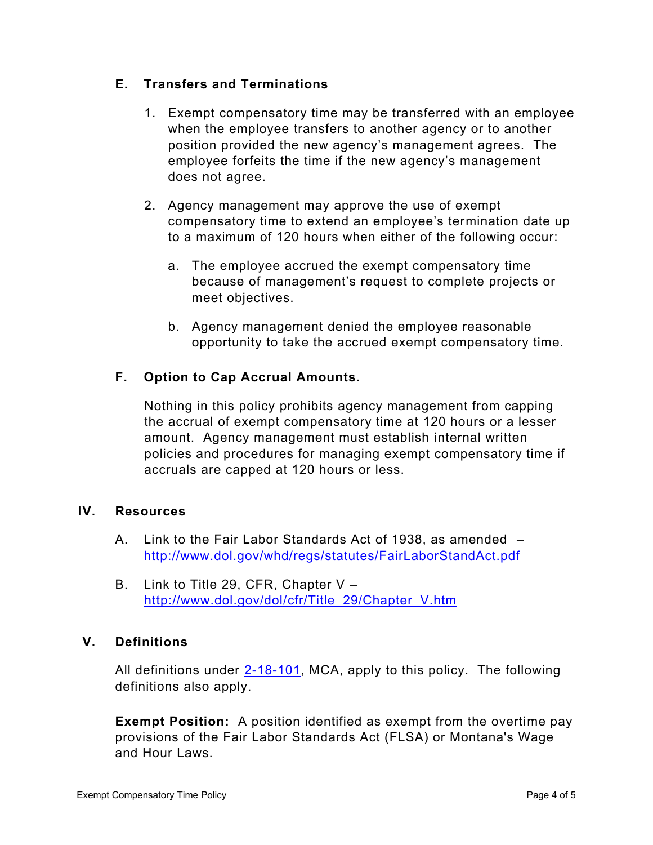### **E. Transfers and Terminations**

- 1. Exempt compensatory time may be transferred with an employee when the employee transfers to another agency or to another position provided the new agency's management agrees. The employee forfeits the time if the new agency's management does not agree.
- 2. Agency management may approve the use of exempt compensatory time to extend an employee's termination date up to a maximum of 120 hours when either of the following occur:
	- a. The employee accrued the exempt compensatory time because of management's request to complete projects or meet objectives.
	- b. Agency management denied the employee reasonable opportunity to take the accrued exempt compensatory time.

## **F. Option to Cap Accrual Amounts.**

Nothing in this policy prohibits agency management from capping the accrual of exempt compensatory time at 120 hours or a lesser amount. Agency management must establish internal written policies and procedures for managing exempt compensatory time if accruals are capped at 120 hours or less.

### **IV. Resources**

- A. Link to the Fair Labor Standards Act of 1938, as amended <http://www.dol.gov/whd/regs/statutes/FairLaborStandAct.pdf>
- B. Link to Title 29, CFR, Chapter V [http://www.dol.gov/dol/cfr/Title\\_29/Chapter\\_V.htm](http://www.dol.gov/dol/cfr/Title_29/Chapter_V.htm)

### **V. Definitions**

All definitions under [2-18-101,](https://leg.mt.gov/bills/mca/title_0020/chapter_0180/part_0010/section_0010/0020-0180-0010-0010.html) MCA, apply to this policy. The following definitions also apply.

**Exempt Position:** A position identified as exempt from the overtime pay provisions of the Fair Labor Standards Act (FLSA) or Montana's Wage and Hour Laws.